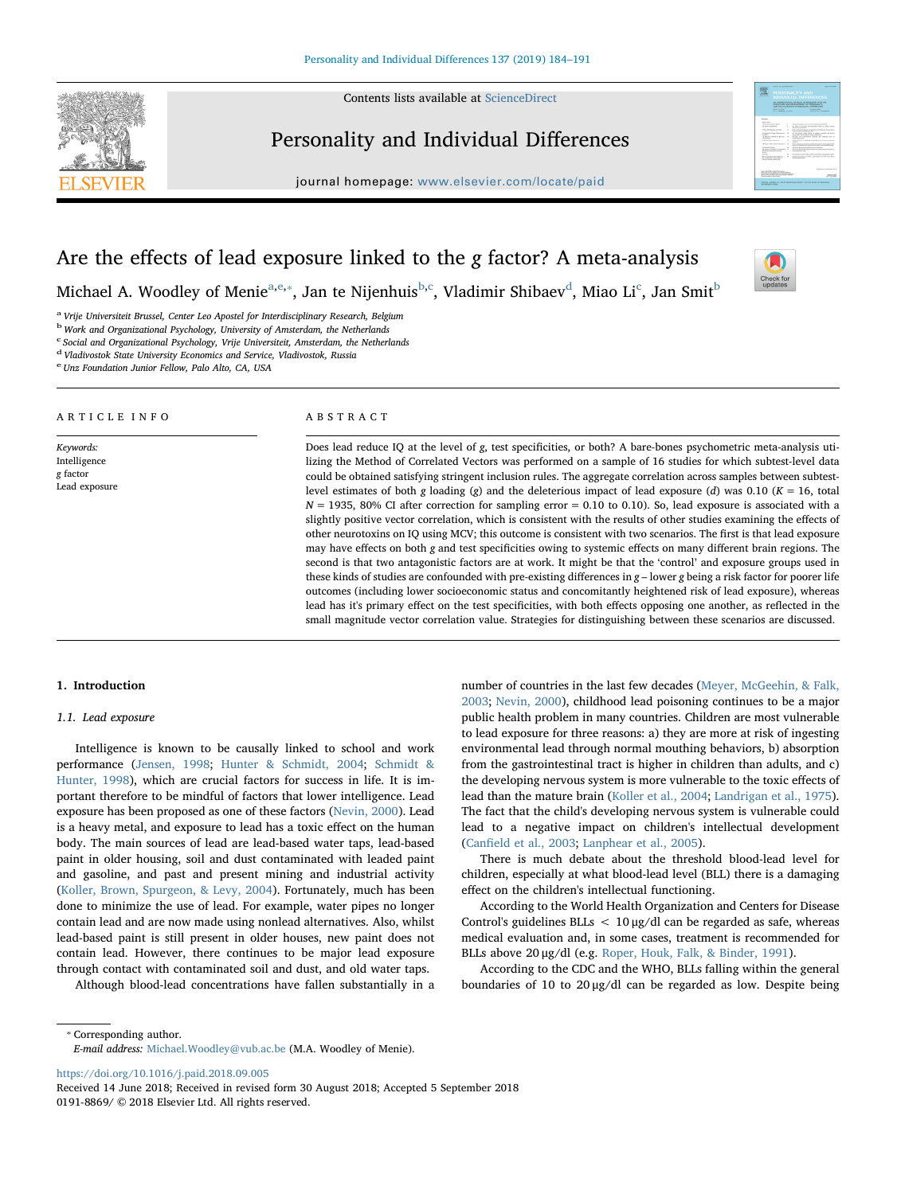Contents lists available at [ScienceDirect](http://www.sciencedirect.com/science/journal/01918869)



## Personality and Individual Differences

journal homepage: [www.elsevier.com/locate/paid](https://www.elsevier.com/locate/paid)



Check for<br>updates

# Are the effects of lead exposure linked to the g factor? A meta-analysis

Mich[a](#page-0-0)el A. Woo[d](#page-0-5)ley of Menie $\rm ^{a,e,*}$  $\rm ^{a,e,*}$  $\rm ^{a,e,*}$ , Jan te Nijenhuis $\rm ^{b,c}$  $\rm ^{b,c}$  $\rm ^{b,c}$  $\rm ^{b,c}$ , Vladimir Shibaev $\rm ^d$ , Miao Li $\rm ^c$  $\rm ^c$ , Jan Smit $\rm ^b$ 

<span id="page-0-0"></span><sup>a</sup> Vrije Universiteit Brussel, Center Leo Apostel for Interdisciplinary Research, Belgium

<span id="page-0-3"></span><sup>b</sup> Work and Organizational Psychology, University of Amsterdam, the Netherlands

<span id="page-0-4"></span><sup>c</sup> Social and Organizational Psychology, Vrije Universiteit, Amsterdam, the Netherlands

<span id="page-0-5"></span><sup>d</sup> Vladivostok State University Economics and Service, Vladivostok, Russia

<span id="page-0-1"></span><sup>e</sup> Unz Foundation Junior Fellow, Palo Alto, CA, USA

| Does lead reduce IQ at the level of g, test specificities, or both? A bare-bones psychometric meta-analysis uti-<br>lizing the Method of Correlated Vectors was performed on a sample of 16 studies for which subtest-level data<br>could be obtained satisfying stringent inclusion rules. The aggregate correlation across samples between subtest-<br>level estimates of both g loading (g) and the deleterious impact of lead exposure (d) was 0.10 (K = 16, total<br>$N = 1935$ , 80% CI after correction for sampling error = 0.10 to 0.10). So, lead exposure is associated with a<br>slightly positive vector correlation, which is consistent with the results of other studies examining the effects of<br>other neurotoxins on IQ using MCV; this outcome is consistent with two scenarios. The first is that lead exposure<br>may have effects on both g and test specificities owing to systemic effects on many different brain regions. The<br>second is that two antagonistic factors are at work. It might be that the 'control' and exposure groups used in<br>these kinds of studies are confounded with pre-existing differences in $g$ – lower g being a risk factor for poorer life<br>outcomes (including lower socioeconomic status and concomitantly heightened risk of lead exposure), whereas |
|--------------------------------------------------------------------------------------------------------------------------------------------------------------------------------------------------------------------------------------------------------------------------------------------------------------------------------------------------------------------------------------------------------------------------------------------------------------------------------------------------------------------------------------------------------------------------------------------------------------------------------------------------------------------------------------------------------------------------------------------------------------------------------------------------------------------------------------------------------------------------------------------------------------------------------------------------------------------------------------------------------------------------------------------------------------------------------------------------------------------------------------------------------------------------------------------------------------------------------------------------------------------------------------------------------------------------|
|                                                                                                                                                                                                                                                                                                                                                                                                                                                                                                                                                                                                                                                                                                                                                                                                                                                                                                                                                                                                                                                                                                                                                                                                                                                                                                                          |

1. Introduction

## 1.1. Lead exposure

Intelligence is known to be causally linked to school and work performance [\(Jensen, 1998;](#page-6-0) [Hunter & Schmidt, 2004;](#page-6-1) [Schmidt &](#page-7-0) [Hunter, 1998](#page-7-0)), which are crucial factors for success in life. It is important therefore to be mindful of factors that lower intelligence. Lead exposure has been proposed as one of these factors [\(Nevin, 2000\)](#page-6-2). Lead is a heavy metal, and exposure to lead has a toxic effect on the human body. The main sources of lead are lead-based water taps, lead-based paint in older housing, soil and dust contaminated with leaded paint and gasoline, and past and present mining and industrial activity ([Koller, Brown, Spurgeon, & Levy, 2004](#page-6-3)). Fortunately, much has been done to minimize the use of lead. For example, water pipes no longer contain lead and are now made using nonlead alternatives. Also, whilst lead-based paint is still present in older houses, new paint does not contain lead. However, there continues to be major lead exposure through contact with contaminated soil and dust, and old water taps.

Although blood-lead concentrations have fallen substantially in a

number of countries in the last few decades ([Meyer, McGeehin, & Falk,](#page-6-4) [2003;](#page-6-4) [Nevin, 2000](#page-6-2)), childhood lead poisoning continues to be a major public health problem in many countries. Children are most vulnerable to lead exposure for three reasons: a) they are more at risk of ingesting environmental lead through normal mouthing behaviors, b) absorption from the gastrointestinal tract is higher in children than adults, and c) the developing nervous system is more vulnerable to the toxic effects of lead than the mature brain ([Koller et al., 2004](#page-6-3); [Landrigan et al., 1975](#page-6-5)). The fact that the child's developing nervous system is vulnerable could lead to a negative impact on children's intellectual development (Canfi[eld et al., 2003](#page-6-6); [Lanphear et al., 2005\)](#page-6-7).

lead has it's primary effect on the test specificities, with both effects opposing one another, as reflected in the small magnitude vector correlation value. Strategies for distinguishing between these scenarios are discussed.

> There is much debate about the threshold blood-lead level for children, especially at what blood-lead level (BLL) there is a damaging effect on the children's intellectual functioning.

> According to the World Health Organization and Centers for Disease Control's guidelines BLLs  $\langle 10 \mu g/d \rangle$  can be regarded as safe, whereas medical evaluation and, in some cases, treatment is recommended for BLLs above 20 μg/dl (e.g. [Roper, Houk, Falk, & Binder, 1991\)](#page-7-1).

> According to the CDC and the WHO, BLLs falling within the general boundaries of 10 to 20 μg/dl can be regarded as low. Despite being

<span id="page-0-2"></span>⁎ Corresponding author.

E-mail address: [Michael.Woodley@vub.ac.be](mailto:Michael.Woodley@vub.ac.be) (M.A. Woodley of Menie).

<https://doi.org/10.1016/j.paid.2018.09.005>

Received 14 June 2018; Received in revised form 30 August 2018; Accepted 5 September 2018 0191-8869/ © 2018 Elsevier Ltd. All rights reserved.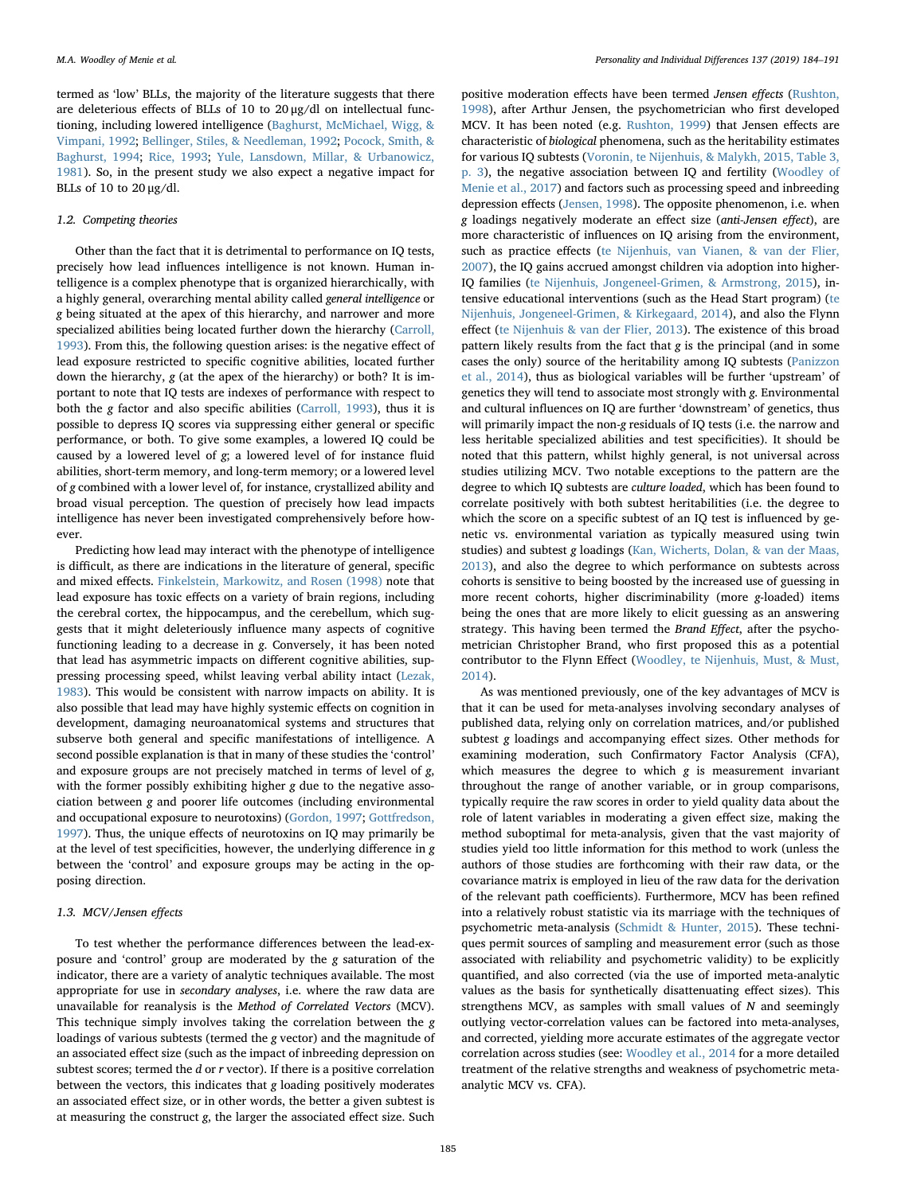termed as 'low' BLLs, the majority of the literature suggests that there are deleterious effects of BLLs of 10 to 20 μg/dl on intellectual functioning, including lowered intelligence ([Baghurst, McMichael, Wigg, &](#page-6-8) [Vimpani, 1992](#page-6-8); [Bellinger, Stiles, & Needleman, 1992;](#page-6-9) [Pocock, Smith, &](#page-7-2) [Baghurst, 1994;](#page-7-2) [Rice, 1993](#page-7-3); [Yule, Lansdown, Millar, & Urbanowicz,](#page-7-4) [1981\)](#page-7-4). So, in the present study we also expect a negative impact for BLLs of 10 to  $20 \mu g/dl$ .

## 1.2. Competing theories

Other than the fact that it is detrimental to performance on IQ tests, precisely how lead influences intelligence is not known. Human intelligence is a complex phenotype that is organized hierarchically, with a highly general, overarching mental ability called general intelligence or g being situated at the apex of this hierarchy, and narrower and more specialized abilities being located further down the hierarchy [\(Carroll,](#page-6-10) [1993\)](#page-6-10). From this, the following question arises: is the negative effect of lead exposure restricted to specific cognitive abilities, located further down the hierarchy, g (at the apex of the hierarchy) or both? It is important to note that IQ tests are indexes of performance with respect to both the g factor and also specific abilities ([Carroll, 1993\)](#page-6-10), thus it is possible to depress IQ scores via suppressing either general or specific performance, or both. To give some examples, a lowered IQ could be caused by a lowered level of g; a lowered level of for instance fluid abilities, short-term memory, and long-term memory; or a lowered level of g combined with a lower level of, for instance, crystallized ability and broad visual perception. The question of precisely how lead impacts intelligence has never been investigated comprehensively before however.

Predicting how lead may interact with the phenotype of intelligence is difficult, as there are indications in the literature of general, specific and mixed effects. [Finkelstein, Markowitz, and Rosen \(1998\)](#page-6-11) note that lead exposure has toxic effects on a variety of brain regions, including the cerebral cortex, the hippocampus, and the cerebellum, which suggests that it might deleteriously influence many aspects of cognitive functioning leading to a decrease in g. Conversely, it has been noted that lead has asymmetric impacts on different cognitive abilities, suppressing processing speed, whilst leaving verbal ability intact [\(Lezak,](#page-6-12) [1983\)](#page-6-12). This would be consistent with narrow impacts on ability. It is also possible that lead may have highly systemic effects on cognition in development, damaging neuroanatomical systems and structures that subserve both general and specific manifestations of intelligence. A second possible explanation is that in many of these studies the 'control' and exposure groups are not precisely matched in terms of level of g, with the former possibly exhibiting higher g due to the negative association between g and poorer life outcomes (including environmental and occupational exposure to neurotoxins) [\(Gordon, 1997;](#page-6-13) [Gottfredson,](#page-6-14) [1997\)](#page-6-14). Thus, the unique effects of neurotoxins on IQ may primarily be at the level of test specificities, however, the underlying difference in g between the 'control' and exposure groups may be acting in the opposing direction.

#### 1.3. MCV/Jensen effects

To test whether the performance differences between the lead-exposure and 'control' group are moderated by the g saturation of the indicator, there are a variety of analytic techniques available. The most appropriate for use in secondary analyses, i.e. where the raw data are unavailable for reanalysis is the Method of Correlated Vectors (MCV). This technique simply involves taking the correlation between the g loadings of various subtests (termed the g vector) and the magnitude of an associated effect size (such as the impact of inbreeding depression on subtest scores; termed the  $d$  or  $r$  vector). If there is a positive correlation between the vectors, this indicates that g loading positively moderates an associated effect size, or in other words, the better a given subtest is at measuring the construct g, the larger the associated effect size. Such

positive moderation effects have been termed Jensen effects [\(Rushton,](#page-7-5) [1998\)](#page-7-5), after Arthur Jensen, the psychometrician who first developed MCV. It has been noted (e.g. [Rushton, 1999](#page-7-6)) that Jensen effects are characteristic of biological phenomena, such as the heritability estimates for various IQ subtests ([Voronin, te Nijenhuis, & Malykh, 2015, Table 3,](#page-7-7) [p. 3](#page-7-7)), the negative association between IQ and fertility [\(Woodley of](#page-7-8) [Menie et al., 2017](#page-7-8)) and factors such as processing speed and inbreeding depression effects [\(Jensen, 1998](#page-6-0)). The opposite phenomenon, i.e. when g loadings negatively moderate an effect size (anti-Jensen effect), are more characteristic of influences on IQ arising from the environment, such as practice effects [\(te Nijenhuis, van Vianen, & van der Flier,](#page-7-9) [2007\)](#page-7-9), the IQ gains accrued amongst children via adoption into higher-IQ families [\(te Nijenhuis, Jongeneel-Grimen, & Armstrong, 2015\)](#page-7-10), in-tensive educational interventions (such as the Head Start program) [\(te](#page-7-11) [Nijenhuis, Jongeneel-Grimen, & Kirkegaard, 2014\)](#page-7-11), and also the Flynn effect ([te Nijenhuis & van der Flier, 2013\)](#page-7-12). The existence of this broad pattern likely results from the fact that g is the principal (and in some cases the only) source of the heritability among IQ subtests ([Panizzon](#page-7-13) [et al., 2014\)](#page-7-13), thus as biological variables will be further 'upstream' of genetics they will tend to associate most strongly with g. Environmental and cultural influences on IQ are further 'downstream' of genetics, thus will primarily impact the non-g residuals of IQ tests (i.e. the narrow and less heritable specialized abilities and test specificities). It should be noted that this pattern, whilst highly general, is not universal across studies utilizing MCV. Two notable exceptions to the pattern are the degree to which IQ subtests are culture loaded, which has been found to correlate positively with both subtest heritabilities (i.e. the degree to which the score on a specific subtest of an IQ test is influenced by genetic vs. environmental variation as typically measured using twin studies) and subtest g loadings [\(Kan, Wicherts, Dolan, & van der Maas,](#page-6-15) [2013\)](#page-6-15), and also the degree to which performance on subtests across cohorts is sensitive to being boosted by the increased use of guessing in more recent cohorts, higher discriminability (more g-loaded) items being the ones that are more likely to elicit guessing as an answering strategy. This having been termed the Brand Effect, after the psychometrician Christopher Brand, who first proposed this as a potential contributor to the Flynn Effect [\(Woodley, te Nijenhuis, Must, & Must,](#page-7-14) [2014\)](#page-7-14).

As was mentioned previously, one of the key advantages of MCV is that it can be used for meta-analyses involving secondary analyses of published data, relying only on correlation matrices, and/or published subtest g loadings and accompanying effect sizes. Other methods for examining moderation, such Confirmatory Factor Analysis (CFA), which measures the degree to which g is measurement invariant throughout the range of another variable, or in group comparisons, typically require the raw scores in order to yield quality data about the role of latent variables in moderating a given effect size, making the method suboptimal for meta-analysis, given that the vast majority of studies yield too little information for this method to work (unless the authors of those studies are forthcoming with their raw data, or the covariance matrix is employed in lieu of the raw data for the derivation of the relevant path coefficients). Furthermore, MCV has been refined into a relatively robust statistic via its marriage with the techniques of psychometric meta-analysis [\(Schmidt & Hunter, 2015\)](#page-7-15). These techniques permit sources of sampling and measurement error (such as those associated with reliability and psychometric validity) to be explicitly quantified, and also corrected (via the use of imported meta-analytic values as the basis for synthetically disattenuating effect sizes). This strengthens MCV, as samples with small values of  $N$  and seemingly outlying vector-correlation values can be factored into meta-analyses, and corrected, yielding more accurate estimates of the aggregate vector correlation across studies (see: [Woodley et al., 2014](#page-7-14) for a more detailed treatment of the relative strengths and weakness of psychometric metaanalytic MCV vs. CFA).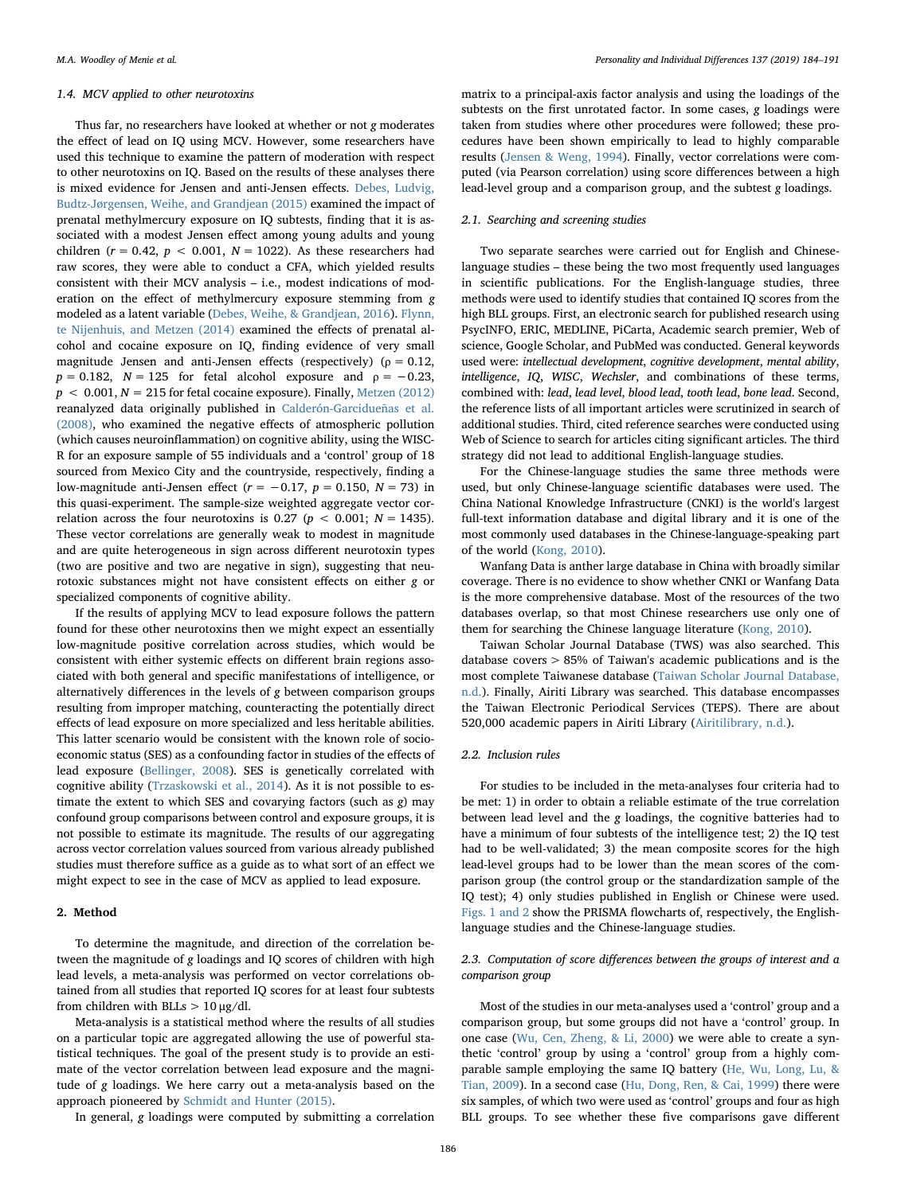#### 1.4. MCV applied to other neurotoxins

Thus far, no researchers have looked at whether or not g moderates the effect of lead on IQ using MCV. However, some researchers have used this technique to examine the pattern of moderation with respect to other neurotoxins on IQ. Based on the results of these analyses there is mixed evidence for Jensen and anti-Jensen effects. [Debes, Ludvig,](#page-6-16) [Budtz-Jørgensen, Weihe, and Grandjean \(2015\)](#page-6-16) examined the impact of prenatal methylmercury exposure on IQ subtests, finding that it is associated with a modest Jensen effect among young adults and young children ( $r = 0.42$ ,  $p < 0.001$ ,  $N = 1022$ ). As these researchers had raw scores, they were able to conduct a CFA, which yielded results consistent with their MCV analysis – i.e., modest indications of moderation on the effect of methylmercury exposure stemming from g modeled as a latent variable [\(Debes, Weihe, & Grandjean, 2016](#page-6-17)). [Flynn,](#page-6-18) [te Nijenhuis, and Metzen \(2014\)](#page-6-18) examined the effects of prenatal alcohol and cocaine exposure on IQ, finding evidence of very small magnitude Jensen and anti-Jensen effects (respectively) ( $\rho = 0.12$ ,  $p = 0.182$ ,  $N = 125$  for fetal alcohol exposure and  $\rho = -0.23$ ,  $p < 0.001$ ,  $N = 215$  for fetal cocaine exposure). Finally, [Metzen \(2012\)](#page-6-19) reanalyzed data originally published in [Calderón-Garcidueñas et al.](#page-6-20) [\(2008\),](#page-6-20) who examined the negative effects of atmospheric pollution (which causes neuroinflammation) on cognitive ability, using the WISC-R for an exposure sample of 55 individuals and a 'control' group of 18 sourced from Mexico City and the countryside, respectively, finding a low-magnitude anti-Jensen effect ( $r = -0.17$ ,  $p = 0.150$ ,  $N = 73$ ) in this quasi-experiment. The sample-size weighted aggregate vector correlation across the four neurotoxins is 0.27 ( $p < 0.001$ ;  $N = 1435$ ). These vector correlations are generally weak to modest in magnitude and are quite heterogeneous in sign across different neurotoxin types (two are positive and two are negative in sign), suggesting that neurotoxic substances might not have consistent effects on either g or specialized components of cognitive ability.

If the results of applying MCV to lead exposure follows the pattern found for these other neurotoxins then we might expect an essentially low-magnitude positive correlation across studies, which would be consistent with either systemic effects on different brain regions associated with both general and specific manifestations of intelligence, or alternatively differences in the levels of g between comparison groups resulting from improper matching, counteracting the potentially direct effects of lead exposure on more specialized and less heritable abilities. This latter scenario would be consistent with the known role of socioeconomic status (SES) as a confounding factor in studies of the effects of lead exposure ([Bellinger, 2008](#page-6-21)). SES is genetically correlated with cognitive ability [\(Trzaskowski et al., 2014](#page-7-16)). As it is not possible to estimate the extent to which SES and covarying factors (such as g) may confound group comparisons between control and exposure groups, it is not possible to estimate its magnitude. The results of our aggregating across vector correlation values sourced from various already published studies must therefore suffice as a guide as to what sort of an effect we might expect to see in the case of MCV as applied to lead exposure.

## 2. Method

To determine the magnitude, and direction of the correlation between the magnitude of g loadings and IQ scores of children with high lead levels, a meta-analysis was performed on vector correlations obtained from all studies that reported IQ scores for at least four subtests from children with BLLs  $> 10 \mu g/dl$ .

Meta-analysis is a statistical method where the results of all studies on a particular topic are aggregated allowing the use of powerful statistical techniques. The goal of the present study is to provide an estimate of the vector correlation between lead exposure and the magnitude of g loadings. We here carry out a meta-analysis based on the approach pioneered by [Schmidt and Hunter \(2015\).](#page-7-15)

In general, g loadings were computed by submitting a correlation

matrix to a principal-axis factor analysis and using the loadings of the subtests on the first unrotated factor. In some cases, g loadings were taken from studies where other procedures were followed; these procedures have been shown empirically to lead to highly comparable results [\(Jensen & Weng, 1994\)](#page-6-22). Finally, vector correlations were computed (via Pearson correlation) using score differences between a high lead-level group and a comparison group, and the subtest g loadings.

#### 2.1. Searching and screening studies

Two separate searches were carried out for English and Chineselanguage studies – these being the two most frequently used languages in scientific publications. For the English-language studies, three methods were used to identify studies that contained IQ scores from the high BLL groups. First, an electronic search for published research using PsycINFO, ERIC, MEDLINE, PiCarta, Academic search premier, Web of science, Google Scholar, and PubMed was conducted. General keywords used were: intellectual development, cognitive development, mental ability, intelligence, IQ, WISC, Wechsler, and combinations of these terms, combined with: lead, lead level, blood lead, tooth lead, bone lead. Second, the reference lists of all important articles were scrutinized in search of additional studies. Third, cited reference searches were conducted using Web of Science to search for articles citing significant articles. The third strategy did not lead to additional English-language studies.

For the Chinese-language studies the same three methods were used, but only Chinese-language scientific databases were used. The China National Knowledge Infrastructure (CNKI) is the world's largest full-text information database and digital library and it is one of the most commonly used databases in the Chinese-language-speaking part of the world [\(Kong, 2010](#page-6-23)).

Wanfang Data is anther large database in China with broadly similar coverage. There is no evidence to show whether CNKI or Wanfang Data is the more comprehensive database. Most of the resources of the two databases overlap, so that most Chinese researchers use only one of them for searching the Chinese language literature [\(Kong, 2010](#page-6-23)).

Taiwan Scholar Journal Database (TWS) was also searched. This database covers > 85% of Taiwan's academic publications and is the most complete Taiwanese database ([Taiwan Scholar Journal Database,](#page-7-17) [n.d.](#page-7-17)). Finally, Airiti Library was searched. This database encompasses the Taiwan Electronic Periodical Services (TEPS). There are about 520,000 academic papers in Airiti Library ([Airitilibrary, n.d.](#page-6-24)).

#### 2.2. Inclusion rules

For studies to be included in the meta-analyses four criteria had to be met: 1) in order to obtain a reliable estimate of the true correlation between lead level and the g loadings, the cognitive batteries had to have a minimum of four subtests of the intelligence test; 2) the IQ test had to be well-validated; 3) the mean composite scores for the high lead-level groups had to be lower than the mean scores of the comparison group (the control group or the standardization sample of the IQ test); 4) only studies published in English or Chinese were used. [Figs. 1 and 2](#page-3-0) show the PRISMA flowcharts of, respectively, the Englishlanguage studies and the Chinese-language studies.

## 2.3. Computation of score differences between the groups of interest and a comparison group

Most of the studies in our meta-analyses used a 'control' group and a comparison group, but some groups did not have a 'control' group. In one case [\(Wu, Cen, Zheng, & Li, 2000\)](#page-7-18) we were able to create a synthetic 'control' group by using a 'control' group from a highly comparable sample employing the same IQ battery ([He, Wu, Long, Lu, &](#page-6-25) [Tian, 2009\)](#page-6-25). In a second case ([Hu, Dong, Ren, & Cai, 1999](#page-6-26)) there were six samples, of which two were used as 'control' groups and four as high BLL groups. To see whether these five comparisons gave different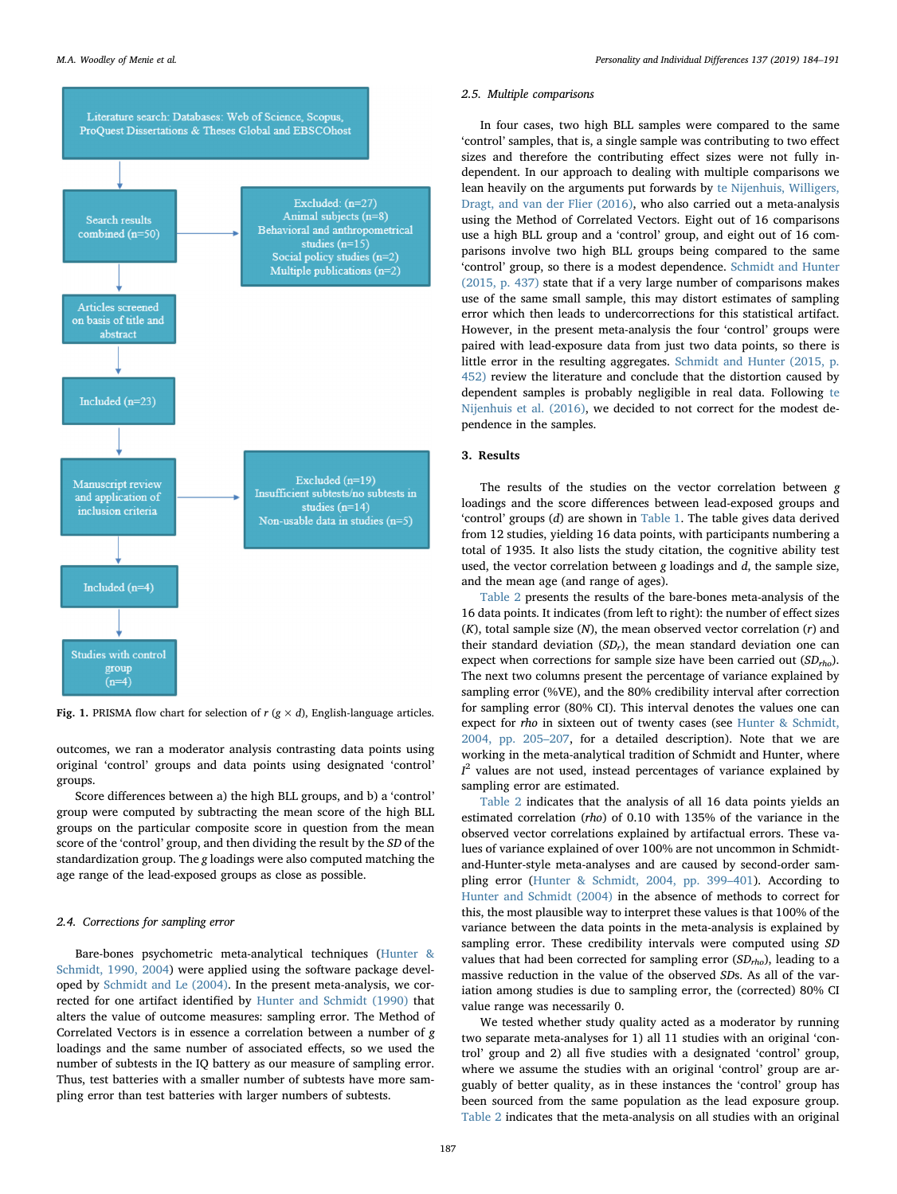<span id="page-3-0"></span>

Fig. 1. PRISMA flow chart for selection of  $r$  ( $g \times d$ ), English-language articles.

outcomes, we ran a moderator analysis contrasting data points using original 'control' groups and data points using designated 'control' groups.

Score differences between a) the high BLL groups, and b) a 'control' group were computed by subtracting the mean score of the high BLL groups on the particular composite score in question from the mean score of the 'control' group, and then dividing the result by the SD of the standardization group. The g loadings were also computed matching the age range of the lead-exposed groups as close as possible.

#### 2.4. Corrections for sampling error

Bare-bones psychometric meta-analytical techniques ([Hunter &](#page-6-27) [Schmidt, 1990, 2004](#page-6-27)) were applied using the software package developed by [Schmidt and Le \(2004\)](#page-7-19). In the present meta-analysis, we corrected for one artifact identified by [Hunter and Schmidt \(1990\)](#page-6-27) that alters the value of outcome measures: sampling error. The Method of Correlated Vectors is in essence a correlation between a number of g loadings and the same number of associated effects, so we used the number of subtests in the IQ battery as our measure of sampling error. Thus, test batteries with a smaller number of subtests have more sampling error than test batteries with larger numbers of subtests.

#### 2.5. Multiple comparisons

In four cases, two high BLL samples were compared to the same 'control' samples, that is, a single sample was contributing to two effect sizes and therefore the contributing effect sizes were not fully independent. In our approach to dealing with multiple comparisons we lean heavily on the arguments put forwards by [te Nijenhuis, Willigers,](#page-7-20) [Dragt, and van der Flier \(2016\)](#page-7-20), who also carried out a meta-analysis using the Method of Correlated Vectors. Eight out of 16 comparisons use a high BLL group and a 'control' group, and eight out of 16 comparisons involve two high BLL groups being compared to the same 'control' group, so there is a modest dependence. [Schmidt and Hunter](#page-7-15) [\(2015, p. 437\)](#page-7-15) state that if a very large number of comparisons makes use of the same small sample, this may distort estimates of sampling error which then leads to undercorrections for this statistical artifact. However, in the present meta-analysis the four 'control' groups were paired with lead-exposure data from just two data points, so there is little error in the resulting aggregates. [Schmidt and Hunter \(2015, p.](#page-7-15) [452\)](#page-7-15) review the literature and conclude that the distortion caused by dependent samples is probably negligible in real data. Following [te](#page-7-20) [Nijenhuis et al. \(2016\),](#page-7-20) we decided to not correct for the modest dependence in the samples.

## 3. Results

The results of the studies on the vector correlation between g loadings and the score differences between lead-exposed groups and 'control' groups (d) are shown in [Table 1](#page-5-0). The table gives data derived from 12 studies, yielding 16 data points, with participants numbering a total of 1935. It also lists the study citation, the cognitive ability test used, the vector correlation between g loadings and  $d$ , the sample size, and the mean age (and range of ages).

[Table 2](#page-5-1) presents the results of the bare-bones meta-analysis of the 16 data points. It indicates (from left to right): the number of effect sizes  $(K)$ , total sample size  $(N)$ , the mean observed vector correlation  $(r)$  and their standard deviation  $(SD_r)$ , the mean standard deviation one can expect when corrections for sample size have been carried out  $(SD<sub>rho</sub>)$ . The next two columns present the percentage of variance explained by sampling error (%VE), and the 80% credibility interval after correction for sampling error (80% CI). This interval denotes the values one can expect for rho in sixteen out of twenty cases (see [Hunter & Schmidt,](#page-6-1) [2004, pp. 205](#page-6-1)–207, for a detailed description). Note that we are working in the meta-analytical tradition of Schmidt and Hunter, where  $I<sup>2</sup>$  values are not used, instead percentages of variance explained by sampling error are estimated.

[Table 2](#page-5-1) indicates that the analysis of all 16 data points yields an estimated correlation (rho) of 0.10 with 135% of the variance in the observed vector correlations explained by artifactual errors. These values of variance explained of over 100% are not uncommon in Schmidtand-Hunter-style meta-analyses and are caused by second-order sampling error [\(Hunter & Schmidt, 2004, pp. 399](#page-6-1)–401). According to [Hunter and Schmidt \(2004\)](#page-6-1) in the absence of methods to correct for this, the most plausible way to interpret these values is that 100% of the variance between the data points in the meta-analysis is explained by sampling error. These credibility intervals were computed using SD values that had been corrected for sampling error  $(SD_{rho})$ , leading to a massive reduction in the value of the observed SDs. As all of the variation among studies is due to sampling error, the (corrected) 80% CI value range was necessarily 0.

We tested whether study quality acted as a moderator by running two separate meta-analyses for 1) all 11 studies with an original 'control' group and 2) all five studies with a designated 'control' group, where we assume the studies with an original 'control' group are arguably of better quality, as in these instances the 'control' group has been sourced from the same population as the lead exposure group. [Table 2](#page-5-1) indicates that the meta-analysis on all studies with an original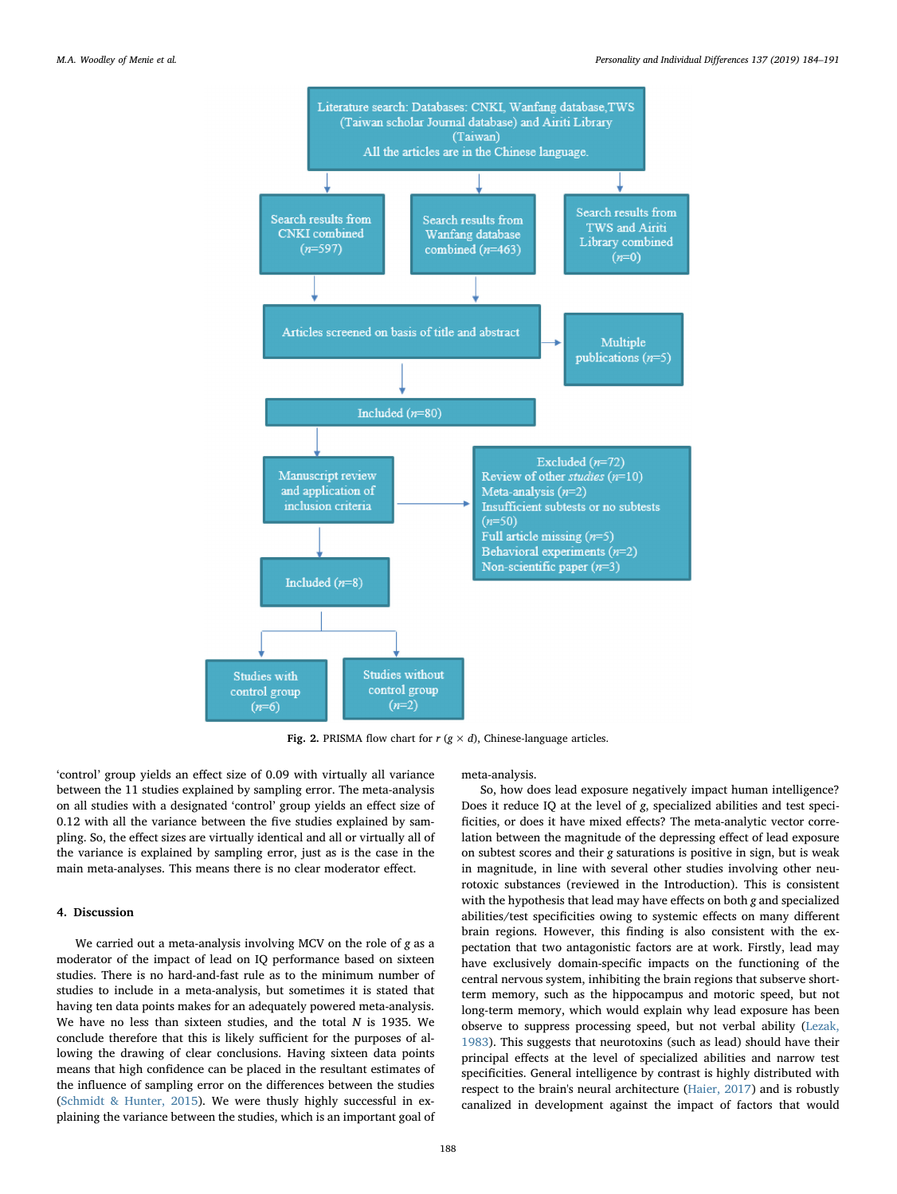

Fig. 2. PRISMA flow chart for  $r$  ( $g \times d$ ), Chinese-language articles.

'control' group yields an effect size of 0.09 with virtually all variance between the 11 studies explained by sampling error. The meta-analysis on all studies with a designated 'control' group yields an effect size of 0.12 with all the variance between the five studies explained by sampling. So, the effect sizes are virtually identical and all or virtually all of the variance is explained by sampling error, just as is the case in the main meta-analyses. This means there is no clear moderator effect.

## 4. Discussion

We carried out a meta-analysis involving MCV on the role of g as a moderator of the impact of lead on IQ performance based on sixteen studies. There is no hard-and-fast rule as to the minimum number of studies to include in a meta-analysis, but sometimes it is stated that having ten data points makes for an adequately powered meta-analysis. We have no less than sixteen studies, and the total  $N$  is 1935. We conclude therefore that this is likely sufficient for the purposes of allowing the drawing of clear conclusions. Having sixteen data points means that high confidence can be placed in the resultant estimates of the influence of sampling error on the differences between the studies ([Schmidt & Hunter, 2015\)](#page-7-15). We were thusly highly successful in explaining the variance between the studies, which is an important goal of meta-analysis.

So, how does lead exposure negatively impact human intelligence? Does it reduce IQ at the level of g, specialized abilities and test specificities, or does it have mixed effects? The meta-analytic vector correlation between the magnitude of the depressing effect of lead exposure on subtest scores and their g saturations is positive in sign, but is weak in magnitude, in line with several other studies involving other neurotoxic substances (reviewed in the Introduction). This is consistent with the hypothesis that lead may have effects on both g and specialized abilities/test specificities owing to systemic effects on many different brain regions. However, this finding is also consistent with the expectation that two antagonistic factors are at work. Firstly, lead may have exclusively domain-specific impacts on the functioning of the central nervous system, inhibiting the brain regions that subserve shortterm memory, such as the hippocampus and motoric speed, but not long-term memory, which would explain why lead exposure has been observe to suppress processing speed, but not verbal ability [\(Lezak,](#page-6-12) [1983\)](#page-6-12). This suggests that neurotoxins (such as lead) should have their principal effects at the level of specialized abilities and narrow test specificities. General intelligence by contrast is highly distributed with respect to the brain's neural architecture ([Haier, 2017](#page-6-28)) and is robustly canalized in development against the impact of factors that would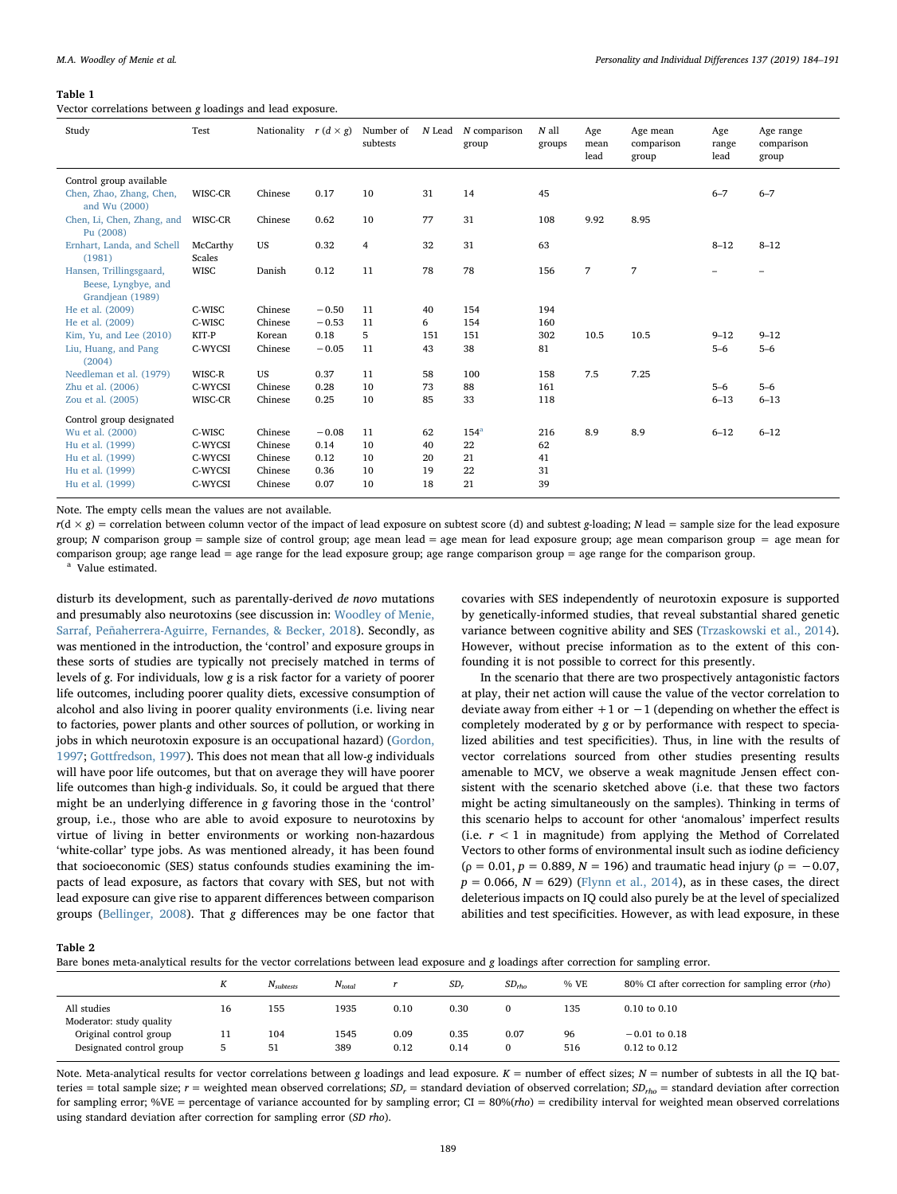#### <span id="page-5-0"></span>Table 1

Vector correlations between g loadings and lead exposure.

| Study                                   | Test        | Nationality $r(d \times g)$ |         | Number of<br>subtests | N Lead | $N$ comparison<br>group | $N$ all<br>groups | Age<br>mean<br>lead | Age mean<br>comparison<br>group | Age<br>range<br>lead | Age range<br>comparison<br>group |
|-----------------------------------------|-------------|-----------------------------|---------|-----------------------|--------|-------------------------|-------------------|---------------------|---------------------------------|----------------------|----------------------------------|
| Control group available                 |             |                             |         |                       |        |                         |                   |                     |                                 |                      |                                  |
| Chen, Zhao, Zhang, Chen,                | WISC-CR     | Chinese                     | 0.17    | 10                    | 31     | 14                      | 45                |                     |                                 | $6 - 7$              | $6 - 7$                          |
| and Wu (2000)                           |             |                             |         |                       |        |                         |                   |                     |                                 |                      |                                  |
| Chen, Li, Chen, Zhang, and<br>Pu (2008) | WISC-CR     | Chinese                     | 0.62    | 10                    | 77     | 31                      | 108               | 9.92                | 8.95                            |                      |                                  |
| Ernhart, Landa, and Schell              | McCarthy    | <b>US</b>                   | 0.32    | $\overline{4}$        | 32     | 31                      | 63                |                     |                                 | $8 - 12$             | $8 - 12$                         |
| (1981)                                  | Scales      |                             |         |                       |        |                         |                   |                     |                                 |                      |                                  |
| Hansen, Trillingsgaard,                 | <b>WISC</b> | Danish                      | 0.12    | 11                    | 78     | 78                      | 156               | $\overline{7}$      | $\overline{7}$                  |                      |                                  |
| Beese, Lyngbye, and                     |             |                             |         |                       |        |                         |                   |                     |                                 |                      |                                  |
| Grandjean (1989)                        |             |                             |         |                       |        |                         |                   |                     |                                 |                      |                                  |
| He et al. (2009)                        | C-WISC      | Chinese                     | $-0.50$ | 11                    | 40     | 154                     | 194               |                     |                                 |                      |                                  |
| He et al. (2009)                        | C-WISC      | Chinese                     | $-0.53$ | 11                    | 6      | 154                     | 160               |                     |                                 |                      |                                  |
| Kim, Yu, and Lee (2010)                 | KIT-P       | Korean                      | 0.18    | 5                     | 151    | 151                     | 302               | 10.5                | 10.5                            | $9 - 12$             | $9 - 12$                         |
| Liu, Huang, and Pang<br>(2004)          | C-WYCSI     | Chinese                     | $-0.05$ | 11                    | 43     | 38                      | 81                |                     |                                 | $5 - 6$              | $5 - 6$                          |
| Needleman et al. (1979)                 | WISC-R      | <b>US</b>                   | 0.37    | 11                    | 58     | 100                     | 158               | 7.5                 | 7.25                            |                      |                                  |
| Zhu et al. (2006)                       | C-WYCSI     | Chinese                     | 0.28    | 10                    | 73     | 88                      | 161               |                     |                                 | $5 - 6$              | $5 - 6$                          |
| Zou et al. (2005)                       | WISC-CR     | Chinese                     | 0.25    | 10                    | 85     | 33                      | 118               |                     |                                 | $6 - 13$             | $6 - 13$                         |
| Control group designated                |             |                             |         |                       |        |                         |                   |                     |                                 |                      |                                  |
| Wu et al. (2000)                        | C-WISC      | Chinese                     | $-0.08$ | 11                    | 62     | $154^{\circ}$           | 216               | 8.9                 | 8.9                             | $6 - 12$             | $6 - 12$                         |
| Hu et al. (1999)                        | C-WYCSI     | Chinese                     | 0.14    | 10                    | 40     | 22                      | 62                |                     |                                 |                      |                                  |
| Hu et al. (1999)                        | C-WYCSI     | Chinese                     | 0.12    | 10                    | 20     | 21                      | 41                |                     |                                 |                      |                                  |
| Hu et al. (1999)                        | C-WYCSI     | Chinese                     | 0.36    | 10                    | 19     | 22                      | 31                |                     |                                 |                      |                                  |
| Hu et al. (1999)                        | C-WYCSI     | Chinese                     | 0.07    | 10                    | 18     | 21                      | 39                |                     |                                 |                      |                                  |

Note. The empty cells mean the values are not available.

 $r(d \times g)$  = correlation between column vector of the impact of lead exposure on subtest score (d) and subtest g-loading; N lead = sample size for the lead exposure group; N comparison group = sample size of control group; age mean lead = age mean for lead exposure group; age mean comparison group = age mean for comparison group; age range lead = age range for the lead exposure group; age range comparison group = age range for the comparison group. <sup>a</sup> Value estimated.

<span id="page-5-2"></span>disturb its development, such as parentally-derived de novo mutations and presumably also neurotoxins (see discussion in: [Woodley of Menie,](#page-7-21) [Sarraf, Peñaherrera-Aguirre, Fernandes, & Becker, 2018\)](#page-7-21). Secondly, as was mentioned in the introduction, the 'control' and exposure groups in these sorts of studies are typically not precisely matched in terms of levels of g. For individuals, low g is a risk factor for a variety of poorer life outcomes, including poorer quality diets, excessive consumption of alcohol and also living in poorer quality environments (i.e. living near to factories, power plants and other sources of pollution, or working in jobs in which neurotoxin exposure is an occupational hazard) [\(Gordon,](#page-6-13) [1997;](#page-6-13) [Gottfredson, 1997\)](#page-6-14). This does not mean that all low-g individuals will have poor life outcomes, but that on average they will have poorer life outcomes than high-g individuals. So, it could be argued that there might be an underlying difference in g favoring those in the 'control' group, i.e., those who are able to avoid exposure to neurotoxins by virtue of living in better environments or working non-hazardous 'white-collar' type jobs. As was mentioned already, it has been found that socioeconomic (SES) status confounds studies examining the impacts of lead exposure, as factors that covary with SES, but not with lead exposure can give rise to apparent differences between comparison groups [\(Bellinger, 2008\)](#page-6-21). That g differences may be one factor that covaries with SES independently of neurotoxin exposure is supported by genetically-informed studies, that reveal substantial shared genetic variance between cognitive ability and SES ([Trzaskowski et al., 2014](#page-7-16)). However, without precise information as to the extent of this confounding it is not possible to correct for this presently.

In the scenario that there are two prospectively antagonistic factors at play, their net action will cause the value of the vector correlation to deviate away from either +1 or  $-1$  (depending on whether the effect is completely moderated by g or by performance with respect to specialized abilities and test specificities). Thus, in line with the results of vector correlations sourced from other studies presenting results amenable to MCV, we observe a weak magnitude Jensen effect consistent with the scenario sketched above (i.e. that these two factors might be acting simultaneously on the samples). Thinking in terms of this scenario helps to account for other 'anomalous' imperfect results (i.e.  $r < 1$  in magnitude) from applying the Method of Correlated Vectors to other forms of environmental insult such as iodine deficiency ( $\rho = 0.01$ ,  $p = 0.889$ ,  $N = 196$ ) and traumatic head injury ( $\rho = -0.07$ ,  $p = 0.066$ ,  $N = 629$ ) [\(Flynn et al., 2014](#page-6-18)), as in these cases, the direct deleterious impacts on IQ could also purely be at the level of specialized abilities and test specificities. However, as with lead exposure, in these

<span id="page-5-1"></span>Table 2

| Bare bones meta-analytical results for the vector correlations between lead exposure and g loadings after correction for sampling error. |  |  |  |
|------------------------------------------------------------------------------------------------------------------------------------------|--|--|--|
|------------------------------------------------------------------------------------------------------------------------------------------|--|--|--|

|                                                    | к  | $N_{\text{subtests}}$ | $N_{total}$ |              | $SD_r$       | SD <sub>rho</sub> | % VE      | 80% CI after correction for sampling error (rho) |
|----------------------------------------------------|----|-----------------------|-------------|--------------|--------------|-------------------|-----------|--------------------------------------------------|
| All studies<br>Moderator: study quality            | 16 | 155                   | 1935        | 0.10         | 0.30         |                   | 135       | $0.10$ to $0.10$                                 |
| Original control group<br>Designated control group | 11 | 104<br>51             | 1545<br>389 | 0.09<br>0.12 | 0.35<br>0.14 | 0.07              | 96<br>516 | $-0.01$ to 0.18<br>0.12 to 0.12                  |

Note. Meta-analytical results for vector correlations between g loadings and lead exposure.  $K =$  number of effect sizes;  $N =$  number of subtests in all the IQ batteries = total sample size;  $r$  = weighted mean observed correlations;  $SD_r$  = standard deviation of observed correlation;  $SD_{rho}$  = standard deviation after correction for sampling error; %VE = percentage of variance accounted for by sampling error;  $CI = 80\%(rho) = \text{creditibility interval}$  for weighted mean observed correlations using standard deviation after correction for sampling error (SD rho).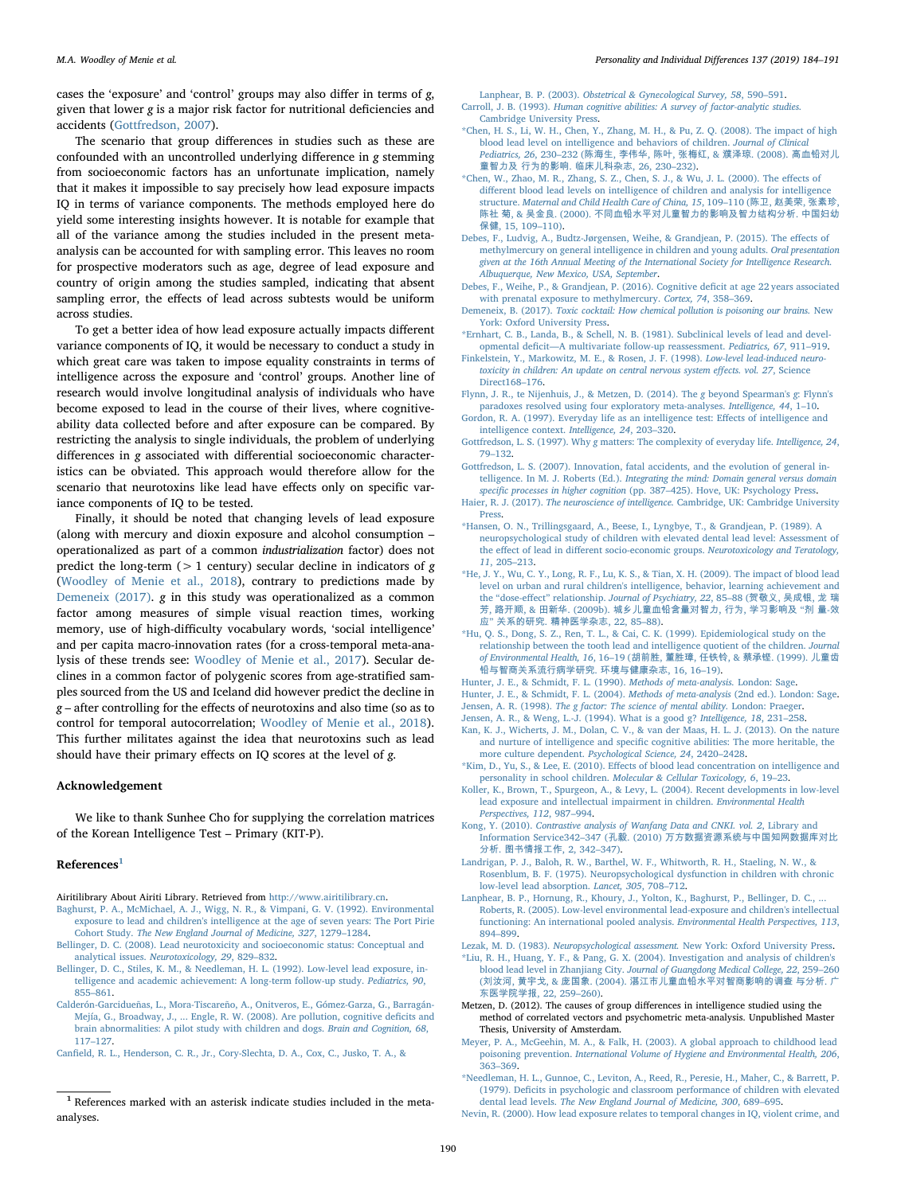cases the 'exposure' and 'control' groups may also differ in terms of g, given that lower g is a major risk factor for nutritional deficiencies and accidents ([Gottfredson, 2007](#page-6-36)).

The scenario that group differences in studies such as these are confounded with an uncontrolled underlying difference in g stemming from socioeconomic factors has an unfortunate implication, namely that it makes it impossible to say precisely how lead exposure impacts IQ in terms of variance components. The methods employed here do yield some interesting insights however. It is notable for example that all of the variance among the studies included in the present metaanalysis can be accounted for with sampling error. This leaves no room for prospective moderators such as age, degree of lead exposure and country of origin among the studies sampled, indicating that absent sampling error, the effects of lead across subtests would be uniform across studies.

To get a better idea of how lead exposure actually impacts different variance components of IQ, it would be necessary to conduct a study in which great care was taken to impose equality constraints in terms of intelligence across the exposure and 'control' groups. Another line of research would involve longitudinal analysis of individuals who have become exposed to lead in the course of their lives, where cognitiveability data collected before and after exposure can be compared. By restricting the analysis to single individuals, the problem of underlying differences in g associated with differential socioeconomic characteristics can be obviated. This approach would therefore allow for the scenario that neurotoxins like lead have effects only on specific variance components of IQ to be tested.

Finally, it should be noted that changing levels of lead exposure (along with mercury and dioxin exposure and alcohol consumption – operationalized as part of a common industrialization factor) does not predict the long-term ( $> 1$  century) secular decline in indicators of g ([Woodley of Menie et al., 2018\)](#page-7-21), contrary to predictions made by [Demeneix \(2017\)](#page-6-37). g in this study was operationalized as a common factor among measures of simple visual reaction times, working memory, use of high-difficulty vocabulary words, 'social intelligence' and per capita macro-innovation rates (for a cross-temporal meta-analysis of these trends see: [Woodley of Menie et al., 2017](#page-7-8)). Secular declines in a common factor of polygenic scores from age-stratified samples sourced from the US and Iceland did however predict the decline in  $g$  – after controlling for the effects of neurotoxins and also time (so as to control for temporal autocorrelation; [Woodley of Menie et al., 2018](#page-7-21)). This further militates against the idea that neurotoxins such as lead should have their primary effects on IQ scores at the level of g.

#### Acknowledgement

We like to thank Sunhee Cho for supplying the correlation matrices of the Korean Intelligence Test – Primary (KIT-P).

#### References

- <span id="page-6-24"></span>Airitilibrary About Airiti Library. Retrieved from <http://www.airitilibrary.cn>.
- <span id="page-6-8"></span>[Baghurst, P. A., McMichael, A. J., Wigg, N. R., & Vimpani, G. V. \(1992\). Environmental](http://refhub.elsevier.com/S0191-8869(18)30481-1/rf0010) [exposure to lead and children's intelligence at the age of seven years: The Port Pirie](http://refhub.elsevier.com/S0191-8869(18)30481-1/rf0010) Cohort Study. [The New England Journal of Medicine, 327](http://refhub.elsevier.com/S0191-8869(18)30481-1/rf0010), 1279–1284.
- <span id="page-6-21"></span>[Bellinger, D. C. \(2008\). Lead neurotoxicity and socioeconomic status: Conceptual and](http://refhub.elsevier.com/S0191-8869(18)30481-1/rf0015) analytical issues. [Neurotoxicology, 29](http://refhub.elsevier.com/S0191-8869(18)30481-1/rf0015), 829–832.
- <span id="page-6-9"></span>[Bellinger, D. C., Stiles, K. M., & Needleman, H. L. \(1992\). Low-level lead exposure, in](http://refhub.elsevier.com/S0191-8869(18)30481-1/rf0020)[telligence and academic achievement: A long-term follow-up study.](http://refhub.elsevier.com/S0191-8869(18)30481-1/rf0020) Pediatrics, 90, 855–[861](http://refhub.elsevier.com/S0191-8869(18)30481-1/rf0020).
- <span id="page-6-20"></span>[Calderón-Garcidueñas, L., Mora-Tiscareño, A., Onitveros, E., Gómez-Garza, G., Barragán-](http://refhub.elsevier.com/S0191-8869(18)30481-1/rf0025)[Mejía, G., Broadway, J., ... Engle, R. W. \(2008\). Are pollution, cognitive de](http://refhub.elsevier.com/S0191-8869(18)30481-1/rf0025)ficits and [brain abnormalities: A pilot study with children and dogs.](http://refhub.elsevier.com/S0191-8869(18)30481-1/rf0025) Brain and Cognition, 68, 117–[127](http://refhub.elsevier.com/S0191-8869(18)30481-1/rf0025).
- <span id="page-6-6"></span>Canfi[eld, R. L., Henderson, C. R., Jr., Cory-Slechta, D. A., Cox, C., Jusko, T. A., &](http://refhub.elsevier.com/S0191-8869(18)30481-1/rf0030)

<span id="page-6-10"></span>Lanphear, B. P. (2003). [Obstetrical & Gynecological Survey, 58](http://refhub.elsevier.com/S0191-8869(18)30481-1/rf0030), 590–591. Carroll, J. B. (1993). [Human cognitive abilities: A survey of factor-analytic studies.](http://refhub.elsevier.com/S0191-8869(18)30481-1/rf0035) [Cambridge University Press.](http://refhub.elsevier.com/S0191-8869(18)30481-1/rf0035)

- <span id="page-6-30"></span>[\\*Chen, H. S., Li, W. H., Chen, Y., Zhang, M. H., & Pu, Z. Q. \(2008\). The impact of high](http://refhub.elsevier.com/S0191-8869(18)30481-1/rf0040) [blood lead level on intelligence and behaviors of children.](http://refhub.elsevier.com/S0191-8869(18)30481-1/rf0040) Journal of Clinical [Pediatrics, 26](http://refhub.elsevier.com/S0191-8869(18)30481-1/rf0040), 230–232 (陈海生, 李伟华, 陈叶, 张梅红, & 濮泽琼. (2008). 高血铅对儿 童智力及 行为的影响. 临床儿科杂志[, 26, 230](http://refhub.elsevier.com/S0191-8869(18)30481-1/rf0040)–232).
- <span id="page-6-29"></span>[\\*Chen, W., Zhao, M. R., Zhang, S. Z., Chen, S. J., & Wu, J. L. \(2000\). The e](http://refhub.elsevier.com/S0191-8869(18)30481-1/rf0045)ffects of diff[erent blood lead levels on intelligence of children and analysis for intelligence](http://refhub.elsevier.com/S0191-8869(18)30481-1/rf0045) structure. [Maternal and Child Health Care of China, 15](http://refhub.elsevier.com/S0191-8869(18)30481-1/rf0045), 109–110 (陈卫, 赵美荣, 张素珍, 陈社 菊, & 吴金良[. \(2000\).](http://refhub.elsevier.com/S0191-8869(18)30481-1/rf0045) 不同血铅水平对儿童智力的影响及智力结构分析. 中国妇幼 保健[, 15, 109](http://refhub.elsevier.com/S0191-8869(18)30481-1/rf0045)–110).
- <span id="page-6-16"></span>[Debes, F., Ludvig, A., Budtz-Jørgensen, Weihe, & Grandjean, P. \(2015\). The e](http://refhub.elsevier.com/S0191-8869(18)30481-1/rf0050)ffects of [methylmercury on general intelligence in children and young adults.](http://refhub.elsevier.com/S0191-8869(18)30481-1/rf0050) Oral presentation [given at the 16th Annual Meeting of the International Society for Intelligence Research.](http://refhub.elsevier.com/S0191-8869(18)30481-1/rf0050) [Albuquerque, New Mexico, USA, September](http://refhub.elsevier.com/S0191-8869(18)30481-1/rf0050).
- <span id="page-6-17"></span>[Debes, F., Weihe, P., & Grandjean, P. \(2016\). Cognitive de](http://refhub.elsevier.com/S0191-8869(18)30481-1/rf0055)ficit at age 22 years associated [with prenatal exposure to methylmercury.](http://refhub.elsevier.com/S0191-8869(18)30481-1/rf0055) Cortex, 74, 358–369.
- <span id="page-6-37"></span>Demeneix, B. (2017). [Toxic cocktail: How chemical pollution is poisoning our brains.](http://refhub.elsevier.com/S0191-8869(18)30481-1/rf0060) New [York: Oxford University Press](http://refhub.elsevier.com/S0191-8869(18)30481-1/rf0060).
- <span id="page-6-31"></span>[\\*Ernhart, C. B., Landa, B., & Schell, N. B. \(1981\). Subclinical levels of lead and devel](http://refhub.elsevier.com/S0191-8869(18)30481-1/rf0065)opmental deficit—[A multivariate follow-up reassessment.](http://refhub.elsevier.com/S0191-8869(18)30481-1/rf0065) Pediatrics, 67, 911–919.
- <span id="page-6-11"></span>[Finkelstein, Y., Markowitz, M. E., & Rosen, J. F. \(1998\).](http://refhub.elsevier.com/S0191-8869(18)30481-1/rf0070) Low-level lead-induced neuro[toxicity in children: An update on central nervous system e](http://refhub.elsevier.com/S0191-8869(18)30481-1/rf0070)ffects. vol. 27, Science [Direct168](http://refhub.elsevier.com/S0191-8869(18)30481-1/rf0070)–176.
- <span id="page-6-18"></span>Flynn, [J. R., te Nijenhuis, J., & Metzen, D. \(2014\). The](http://refhub.elsevier.com/S0191-8869(18)30481-1/rf0075) g beyond Spearman's g: Flynn's [paradoxes resolved using four exploratory meta-analyses.](http://refhub.elsevier.com/S0191-8869(18)30481-1/rf0075) Intelligence, 44, 1–10.
- <span id="page-6-13"></span>[Gordon, R. A. \(1997\). Everyday life as an intelligence test: E](http://refhub.elsevier.com/S0191-8869(18)30481-1/rf0080)ffects of intelligence and [intelligence context.](http://refhub.elsevier.com/S0191-8869(18)30481-1/rf0080) Intelligence, 24, 203–320.
- <span id="page-6-14"></span>Gottfredson, L. S. (1997). Why g [matters: The complexity of everyday life.](http://refhub.elsevier.com/S0191-8869(18)30481-1/rf0085) Intelligence, 24, 79–[132.](http://refhub.elsevier.com/S0191-8869(18)30481-1/rf0085)
- <span id="page-6-36"></span>[Gottfredson, L. S. \(2007\). Innovation, fatal accidents, and the evolution of general in](http://refhub.elsevier.com/S0191-8869(18)30481-1/rf0090)telligence. In M. J. Roberts (Ed.). [Integrating the mind: Domain general versus domain](http://refhub.elsevier.com/S0191-8869(18)30481-1/rf0090) specific processes in higher cognition (pp. 387–[425\). Hove, UK: Psychology Press.](http://refhub.elsevier.com/S0191-8869(18)30481-1/rf0090)
- <span id="page-6-28"></span>Haier, R. J. (2017). The neuroscience of intelligence. [Cambridge, UK: Cambridge University](http://refhub.elsevier.com/S0191-8869(18)30481-1/rf0095) [Press.](http://refhub.elsevier.com/S0191-8869(18)30481-1/rf0095)
- <span id="page-6-32"></span>[\\*Hansen, O. N., Trillingsgaard, A., Beese, I., Lyngbye, T., & Grandjean, P. \(1989\). A](http://refhub.elsevier.com/S0191-8869(18)30481-1/rf0100) [neuropsychological study of children with elevated dental lead level: Assessment of](http://refhub.elsevier.com/S0191-8869(18)30481-1/rf0100) the effect of lead in different socio-economic groups. [Neurotoxicology and Teratology,](http://refhub.elsevier.com/S0191-8869(18)30481-1/rf0100) 11[, 205](http://refhub.elsevier.com/S0191-8869(18)30481-1/rf0100)–213.
- <span id="page-6-25"></span>[\\*He, J. Y., Wu, C. Y., Long, R. F., Lu, K. S., & Tian, X. H. \(2009\). The impact of blood lead](http://refhub.elsevier.com/S0191-8869(18)30481-1/rf0110) [level on urban and rural children's intelligence, behavior, learning achievement and](http://refhub.elsevier.com/S0191-8869(18)30481-1/rf0110) the "dose-effect" relationship. [Journal of Psychiatry, 22](http://refhub.elsevier.com/S0191-8869(18)30481-1/rf0110), 85–88 (贺敬义, 吴成银, 龙 瑞 芳, 路开顺, & 田新华[. \(2009b\).](http://refhub.elsevier.com/S0191-8869(18)30481-1/rf0110) 城乡儿童血铅含量对智力, 行为, 学习影响及 "剂 量-效 应" 关系的研究. 精神医学杂志, [22, 85](http://refhub.elsevier.com/S0191-8869(18)30481-1/rf0110)–88).
- <span id="page-6-26"></span>[\\*Hu, Q. S., Dong, S. Z., Ren, T. L., & Cai, C. K. \(1999\). Epidemiological study on the](http://refhub.elsevier.com/S0191-8869(18)30481-1/rf0115) [relationship between the tooth lead and intelligence quotient of the children.](http://refhub.elsevier.com/S0191-8869(18)30481-1/rf0115) Journal [of Environmental Health, 16](http://refhub.elsevier.com/S0191-8869(18)30481-1/rf0115), 16–19 (胡前胜, 董胜璋, 任铁铃, & 蔡承铿. (1999). 儿童齿 铅与智商关系流行病学研究. 环境与健康杂志[, 16, 16](http://refhub.elsevier.com/S0191-8869(18)30481-1/rf0115)–19).
- <span id="page-6-27"></span>[Hunter, J. E., & Schmidt, F. L. \(1990\).](http://refhub.elsevier.com/S0191-8869(18)30481-1/rf0120) Methods of meta-analysis. London: Sage.

<span id="page-6-1"></span>[Hunter, J. E., & Schmidt, F. L. \(2004\).](http://refhub.elsevier.com/S0191-8869(18)30481-1/rf0125) Methods of meta-analysis (2nd ed.). London: Sage.

<span id="page-6-0"></span>Jensen, A. R. (1998). [The g factor: The science of mental ability.](http://refhub.elsevier.com/S0191-8869(18)30481-1/rf0130) London: Praeger.

- <span id="page-6-22"></span><span id="page-6-15"></span>[Jensen, A. R., & Weng, L.-J. \(1994\). What is a good g?](http://refhub.elsevier.com/S0191-8869(18)30481-1/rf0135) Intelligence, 18, 231–258. Kan, [K. J., Wicherts, J. M., Dolan, C. V., & van der Maas, H. L. J. \(2013\). On the nature](http://refhub.elsevier.com/S0191-8869(18)30481-1/rf0140)
- and nurture of intelligence and specifi[c cognitive abilities: The more heritable, the](http://refhub.elsevier.com/S0191-8869(18)30481-1/rf0140) [more culture dependent.](http://refhub.elsevier.com/S0191-8869(18)30481-1/rf0140) Psychological Science, 24, 2420–2428.
- <span id="page-6-33"></span>\*Kim, D., Yu, S., & Lee, E. (2010). Eff[ects of blood lead concentration on intelligence and](http://refhub.elsevier.com/S0191-8869(18)30481-1/rf0145) personality in school children. [Molecular & Cellular Toxicology, 6](http://refhub.elsevier.com/S0191-8869(18)30481-1/rf0145), 19–23.
- <span id="page-6-3"></span>[Koller, K., Brown, T., Spurgeon, A., & Levy, L. \(2004\). Recent developments in low-level](http://refhub.elsevier.com/S0191-8869(18)30481-1/rf0150) [lead exposure and intellectual impairment in children.](http://refhub.elsevier.com/S0191-8869(18)30481-1/rf0150) Environmental Health [Perspectives, 112](http://refhub.elsevier.com/S0191-8869(18)30481-1/rf0150), 987–994.
- <span id="page-6-23"></span>Kong, Y. (2010). [Contrastive analysis of Wanfang Data and CNKI. vol. 2](http://refhub.elsevier.com/S0191-8869(18)30481-1/rf0155), Library and [Information Service342](http://refhub.elsevier.com/S0191-8869(18)30481-1/rf0155)–347 (孔毅. (2010) 万方数据资源系统与中国知网数据库对比 分析. 图书情报工作[, 2, 342](http://refhub.elsevier.com/S0191-8869(18)30481-1/rf0155)–347).
- <span id="page-6-5"></span>[Landrigan, P. J., Baloh, R. W., Barthel, W. F., Whitworth, R. H., Staeling, N. W., &](http://refhub.elsevier.com/S0191-8869(18)30481-1/rf0160) [Rosenblum, B. F. \(1975\). Neuropsychological dysfunction in children with chronic](http://refhub.elsevier.com/S0191-8869(18)30481-1/rf0160) [low-level lead absorption.](http://refhub.elsevier.com/S0191-8869(18)30481-1/rf0160) Lancet, 305, 708–712.
- <span id="page-6-7"></span>[Lanphear, B. P., Hornung, R., Khoury, J., Yolton, K., Baghurst, P., Bellinger, D. C., ...](http://refhub.elsevier.com/S0191-8869(18)30481-1/rf0165) [Roberts, R. \(2005\). Low-level environmental lead-exposure and children's intellectual](http://refhub.elsevier.com/S0191-8869(18)30481-1/rf0165) [functioning: An international pooled analysis.](http://refhub.elsevier.com/S0191-8869(18)30481-1/rf0165) Environmental Health Perspectives, 113, 894–[899](http://refhub.elsevier.com/S0191-8869(18)30481-1/rf0165).

<span id="page-6-12"></span>Lezak, M. D. (1983). Neuropsychological assessment. [New York: Oxford University Press.](http://refhub.elsevier.com/S0191-8869(18)30481-1/rf0170)

<span id="page-6-34"></span>[\\*Liu, R. H., Huang, Y. F., & Pang, G. X. \(2004\). Investigation and analysis of children's](http://refhub.elsevier.com/S0191-8869(18)30481-1/rf0175) blood lead level in Zhanjiang City. [Journal of Guangdong Medical College, 22](http://refhub.elsevier.com/S0191-8869(18)30481-1/rf0175), 259–260 (刘汝河, 黄宇戈, & 庞国象. [\(2004\).](http://refhub.elsevier.com/S0191-8869(18)30481-1/rf0175) 湛江市儿童血铅水平对智商影响的调查 与分析. 广 东医学院学报[, 22, 259](http://refhub.elsevier.com/S0191-8869(18)30481-1/rf0175)–260).

- <span id="page-6-19"></span>Metzen, D. (2012). The causes of group differences in intelligence studied using the method of correlated vectors and psychometric meta-analysis. Unpublished Master Thesis, University of Amsterdam.
- <span id="page-6-4"></span>[Meyer, P. A., McGeehin, M. A., & Falk, H. \(2003\). A global approach to childhood lead](http://refhub.elsevier.com/S0191-8869(18)30481-1/rf0180) poisoning prevention. [International Volume of Hygiene and Environmental Health, 206](http://refhub.elsevier.com/S0191-8869(18)30481-1/rf0180), 363–[369](http://refhub.elsevier.com/S0191-8869(18)30481-1/rf0180).

<span id="page-6-35"></span>[\\*Needleman, H. L., Gunnoe, C., Leviton, A., Reed, R., Peresie, H., Maher, C., & Barrett, P.](http://refhub.elsevier.com/S0191-8869(18)30481-1/rf0185) (1979). Defi[cits in psychologic and classroom performance of children with elevated](http://refhub.elsevier.com/S0191-8869(18)30481-1/rf0185) dental lead levels. [The New England Journal of Medicine, 300](http://refhub.elsevier.com/S0191-8869(18)30481-1/rf0185), 689–695.

<span id="page-6-2"></span>[Nevin, R. \(2000\). How lead exposure relates to temporal changes in IQ, violent crime, and](http://refhub.elsevier.com/S0191-8869(18)30481-1/rf0190)

<span id="page-6-38"></span><sup>1</sup> References marked with an asterisk indicate studies included in the metaanalyses.